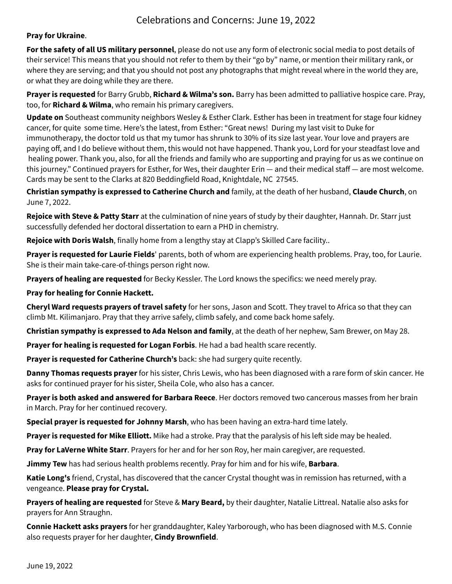## Celebrations and Concerns: June 19, 2022

**Pray for Ukraine**.

**For the safety of all US military personnel**, please do not use any form of electronic social media to post details of their service! This means that you should not refer to them by their "go by" name, or mention their military rank, or where they are serving; and that you should not post any photographs that might reveal where in the world they are, or what they are doing while they are there.

**Prayer is requested** for Barry Grubb, **Richard & Wilma's son.** Barry has been admitted to palliative hospice care. Pray, too, for **Richard & Wilma**, who remain his primary caregivers.

**Update on** Southeast community neighbors Wesley & Esther Clark. Esther has been in treatment for stage four kidney cancer, for quite some time. Here's the latest, from Esther: "Great news! During my last visit to Duke for immunotherapy, the doctor told us that my tumor has shrunk to 30% of its size last year. Your love and prayers are paying off, and I do believe without them, this would not have happened. Thank you, Lord for your steadfast love and healing power. Thank you, also, for all the friends and family who are supporting and praying for us as we continue on this journey." Continued prayers for Esther, for Wes, their daughter Erin — and their medical staff — are most welcome. Cards may be sent to the Clarks at 820 Beddingfield Road, Knightdale, NC 27545.

**Christian sympathy is expressed to Catherine Church and** family, at the death of her husband, **Claude Church**, on June 7, 2022.

**Rejoice with Steve & Patty Starr** at the culmination of nine years of study by their daughter, Hannah. Dr. Starr just successfully defended her doctoral dissertation to earn a PHD in chemistry.

**Rejoice with Doris Walsh**, finally home from a lengthy stay at Clapp's Skilled Care facility..

**Prayer is requested for Laurie Fields**' parents, both of whom are experiencing health problems. Pray, too, for Laurie. She is their main take-care-of-things person right now.

**Prayers of healing are requested** for Becky Kessler. The Lord knows the specifics: we need merely pray.

**Pray for healing for Connie Hackett.**

**Cheryl Ward requests prayers of travel safety** for her sons, Jason and Scott. They travel to Africa so that they can climb Mt. Kilimanjaro. Pray that they arrive safely, climb safely, and come back home safely.

**Christian sympathy is expressed to Ada Nelson and family**, at the death of her nephew, Sam Brewer, on May 28.

**Prayer for healing is requested for Logan Forbis**. He had a bad health scare recently.

**Prayer is requested for Catherine Church's** back: she had surgery quite recently.

**Danny Thomas requests prayer** for his sister, Chris Lewis, who has been diagnosed with a rare form of skin cancer. He asks for continued prayer for his sister, Sheila Cole, who also has a cancer.

**Prayer is both asked and answered for Barbara Reece**. Her doctors removed two cancerous masses from her brain in March. Pray for her continued recovery.

**Special prayer is requested for Johnny Marsh**, who has been having an extra-hard time lately.

**Prayer is requested for Mike Elliott.** Mike had a stroke. Pray that the paralysis of his left side may be healed.

**Pray for LaVerne White Starr**. Prayers for her and for her son Roy, her main caregiver, are requested.

**Jimmy Tew** has had serious health problems recently. Pray for him and for his wife, **Barbara**.

**Katie Long's** friend, Crystal, has discovered that the cancer Crystal thought was in remission has returned, with a vengeance. **Please pray for Crystal.**

**Prayers of healing are requested** for Steve & **Mary Beard,** by their daughter, Natalie Littreal. Natalie also asks for prayers for Ann Straughn.

**Connie Hackett asks prayers** for her granddaughter, Kaley Yarborough, who has been diagnosed with M.S. Connie also requests prayer for her daughter, **Cindy Brownfield**.